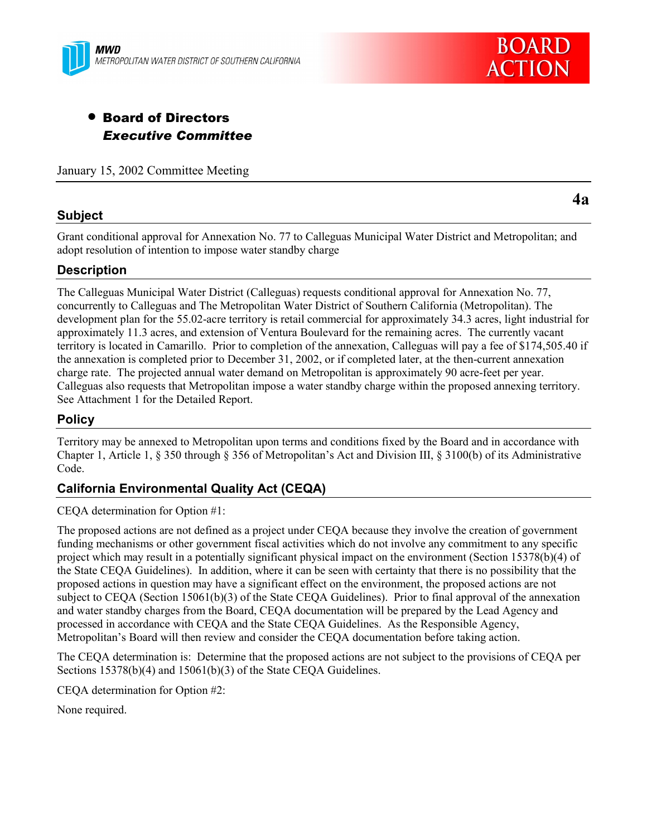



# • Board of Directors *Executive Committee*

January 15, 2002 Committee Meeting

### **Subject**

**4a**

Grant conditional approval for Annexation No. 77 to Calleguas Municipal Water District and Metropolitan; and adopt resolution of intention to impose water standby charge

# **Description**

The Calleguas Municipal Water District (Calleguas) requests conditional approval for Annexation No. 77, concurrently to Calleguas and The Metropolitan Water District of Southern California (Metropolitan). The development plan for the 55.02-acre territory is retail commercial for approximately 34.3 acres, light industrial for approximately 11.3 acres, and extension of Ventura Boulevard for the remaining acres. The currently vacant territory is located in Camarillo. Prior to completion of the annexation, Calleguas will pay a fee of \$174,505.40 if the annexation is completed prior to December 31, 2002, or if completed later, at the then-current annexation charge rate. The projected annual water demand on Metropolitan is approximately 90 acre-feet per year. Calleguas also requests that Metropolitan impose a water standby charge within the proposed annexing territory. See Attachment 1 for the Detailed Report.

## **Policy**

Territory may be annexed to Metropolitan upon terms and conditions fixed by the Board and in accordance with Chapter 1, Article 1, § 350 through § 356 of Metropolitan's Act and Division III, § 3100(b) of its Administrative Code.

## **California Environmental Quality Act (CEQA)**

CEQA determination for Option #1:

The proposed actions are not defined as a project under CEQA because they involve the creation of government funding mechanisms or other government fiscal activities which do not involve any commitment to any specific project which may result in a potentially significant physical impact on the environment (Section 15378(b)(4) of the State CEQA Guidelines). In addition, where it can be seen with certainty that there is no possibility that the proposed actions in question may have a significant effect on the environment, the proposed actions are not subject to CEQA (Section 15061(b)(3) of the State CEQA Guidelines). Prior to final approval of the annexation and water standby charges from the Board, CEQA documentation will be prepared by the Lead Agency and processed in accordance with CEQA and the State CEQA Guidelines. As the Responsible Agency, Metropolitan's Board will then review and consider the CEQA documentation before taking action.

The CEQA determination is: Determine that the proposed actions are not subject to the provisions of CEQA per Sections 15378(b)(4) and 15061(b)(3) of the State CEQA Guidelines.

CEQA determination for Option #2:

None required.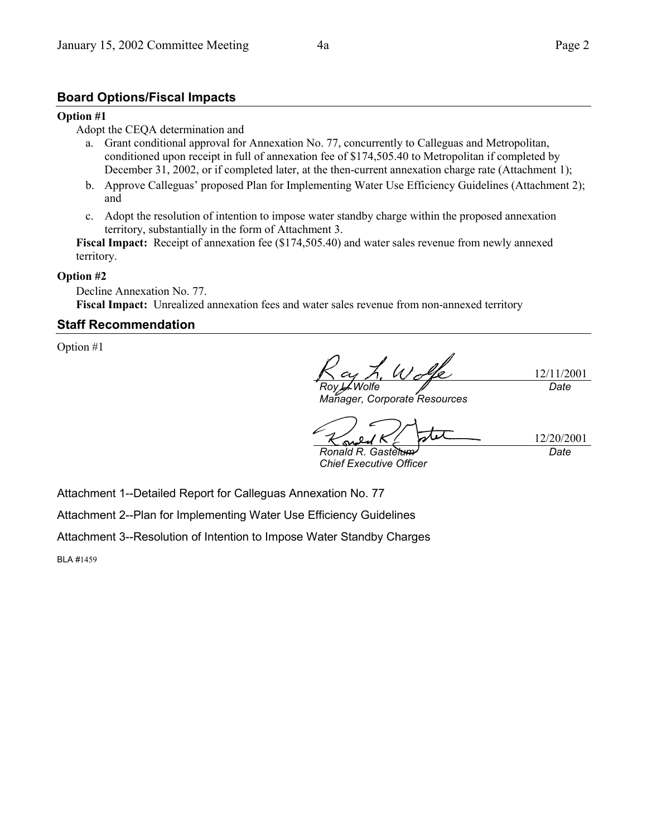### **Board Options/Fiscal Impacts**

#### **Option #1**

Adopt the CEQA determination and

- a. Grant conditional approval for Annexation No. 77, concurrently to Calleguas and Metropolitan, conditioned upon receipt in full of annexation fee of \$174,505.40 to Metropolitan if completed by December 31, 2002, or if completed later, at the then-current annexation charge rate (Attachment 1);
- b. Approve Calleguas' proposed Plan for Implementing Water Use Efficiency Guidelines (Attachment 2); and
- c. Adopt the resolution of intention to impose water standby charge within the proposed annexation territory, substantially in the form of Attachment 3.

Fiscal Impact: Receipt of annexation fee (\$174,505.40) and water sales revenue from newly annexed territory.

#### **Option #2**

Decline Annexation No. 77. **Fiscal Impact:** Unrealized annexation fees and water sales revenue from non-annexed territory

### **Staff Recommendation**

Option #1

 $U_{-}$ 12/11/2001 *Roy L. Wolfe Date*

*Manager, Corporate Resources*

12/20/2001 *Ronald R. Gastelum Date*

*Chief Executive Officer*

Attachment 1--Detailed Report for Calleguas Annexation No. 77

Attachment 2--Plan for Implementing Water Use Efficiency Guidelines

Attachment 3--Resolution of Intention to Impose Water Standby Charges

BLA #1459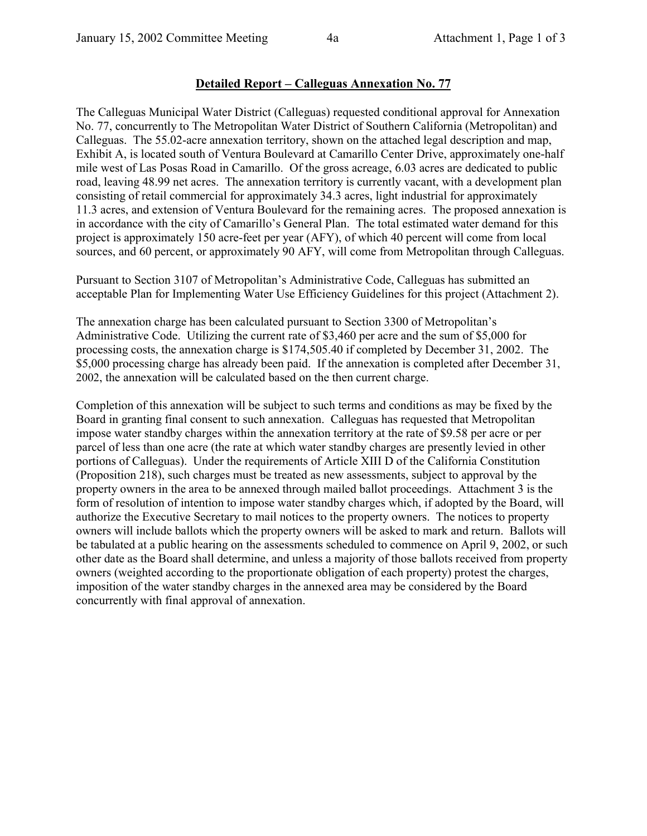# **Detailed Report – Calleguas Annexation No. 77**

The Calleguas Municipal Water District (Calleguas) requested conditional approval for Annexation No. 77, concurrently to The Metropolitan Water District of Southern California (Metropolitan) and Calleguas. The 55.02-acre annexation territory, shown on the attached legal description and map, Exhibit A, is located south of Ventura Boulevard at Camarillo Center Drive, approximately one-half mile west of Las Posas Road in Camarillo. Of the gross acreage, 6.03 acres are dedicated to public road, leaving 48.99 net acres. The annexation territory is currently vacant, with a development plan consisting of retail commercial for approximately 34.3 acres, light industrial for approximately 11.3 acres, and extension of Ventura Boulevard for the remaining acres. The proposed annexation is in accordance with the city of Camarillo's General Plan. The total estimated water demand for this project is approximately 150 acre-feet per year (AFY), of which 40 percent will come from local sources, and 60 percent, or approximately 90 AFY, will come from Metropolitan through Calleguas.

Pursuant to Section 3107 of Metropolitanís Administrative Code, Calleguas has submitted an acceptable Plan for Implementing Water Use Efficiency Guidelines for this project (Attachment 2).

The annexation charge has been calculated pursuant to Section 3300 of Metropolitan's Administrative Code. Utilizing the current rate of \$3,460 per acre and the sum of \$5,000 for processing costs, the annexation charge is \$174,505.40 if completed by December 31, 2002. The \$5,000 processing charge has already been paid. If the annexation is completed after December 31, 2002, the annexation will be calculated based on the then current charge.

Completion of this annexation will be subject to such terms and conditions as may be fixed by the Board in granting final consent to such annexation. Calleguas has requested that Metropolitan impose water standby charges within the annexation territory at the rate of \$9.58 per acre or per parcel of less than one acre (the rate at which water standby charges are presently levied in other portions of Calleguas). Under the requirements of Article XIII D of the California Constitution (Proposition 218), such charges must be treated as new assessments, subject to approval by the property owners in the area to be annexed through mailed ballot proceedings. Attachment 3 is the form of resolution of intention to impose water standby charges which, if adopted by the Board, will authorize the Executive Secretary to mail notices to the property owners. The notices to property owners will include ballots which the property owners will be asked to mark and return. Ballots will be tabulated at a public hearing on the assessments scheduled to commence on April 9, 2002, or such other date as the Board shall determine, and unless a majority of those ballots received from property owners (weighted according to the proportionate obligation of each property) protest the charges, imposition of the water standby charges in the annexed area may be considered by the Board concurrently with final approval of annexation.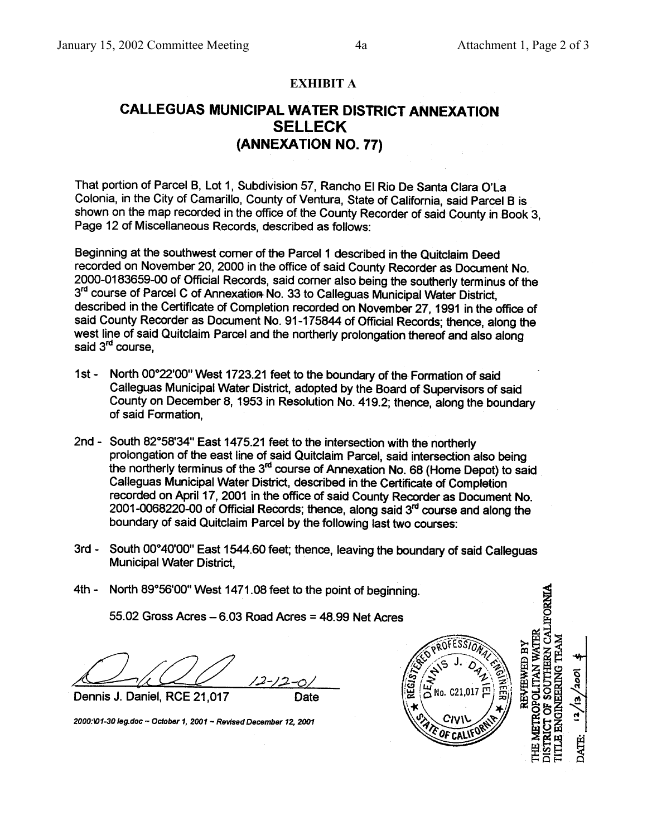### **EXHIBIT A**

# **CALLEGUAS MUNICIPAL WATER DISTRICT ANNEXATION SELLECK** (ANNEXATION NO. 77)

That portion of Parcel B, Lot 1, Subdivision 57, Rancho El Rio De Santa Clara O'La Colonia, in the City of Camarillo, County of Ventura, State of California, said Parcel B is shown on the map recorded in the office of the County Recorder of said County in Book 3. Page 12 of Miscellaneous Records, described as follows:

Beginning at the southwest comer of the Parcel 1 described in the Quitclaim Deed recorded on November 20, 2000 in the office of said County Recorder as Document No. 2000-0183659-00 of Official Records, said corner also being the southerly terminus of the 3rd course of Parcel C of Annexation No. 33 to Calleguas Municipal Water District, described in the Certificate of Completion recorded on November 27, 1991 in the office of said County Recorder as Document No. 91-175844 of Official Records; thence, along the west line of said Quitclaim Parcel and the northerly prolongation thereof and also along said 3<sup>rd</sup> course.

- 1st North 00°22'00" West 1723.21 feet to the boundary of the Formation of said Calleguas Municipal Water District, adopted by the Board of Supervisors of said County on December 8, 1953 in Resolution No. 419.2; thence, along the boundary of said Formation.
- 2nd South 82°58'34" East 1475.21 feet to the intersection with the northerly prolongation of the east line of said Quitclaim Parcel, said intersection also being the northerly terminus of the 3<sup>rd</sup> course of Annexation No. 68 (Home Depot) to said Calleguas Municipal Water District, described in the Certificate of Completion recorded on April 17, 2001 in the office of said County Recorder as Document No. 2001-0068220-00 of Official Records; thence, along said 3<sup>rd</sup> course and along the boundary of said Quitclaim Parcel by the following last two courses:
- 3rd South 00°40'00" East 1544.60 feet; thence, leaving the boundary of said Calleguas **Municipal Water District.**

Date

4th - North 89°56'00" West 1471.08 feet to the point of beginning.

55.02 Gross Acres  $-6.03$  Road Acres = 48.99 Net Acres

Dennis J. Daniel, RCE 21,017

2000:\01-30 leg.doc ~ October 1, 2001 ~ Revised December 12, 2001



**GINEERING TEAM** 

DATE: